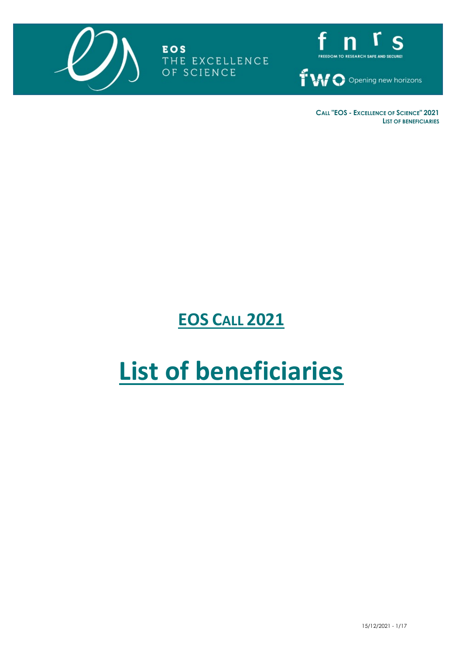

**EOS** THE EXCELLENCE OF SCIENCE



**CALL "EOS - EXCELLENCE OF SCIENCE" 2021 LIST OF BENEFICIARIES**

## **EOS CALL 2021**

# **List of beneficiaries**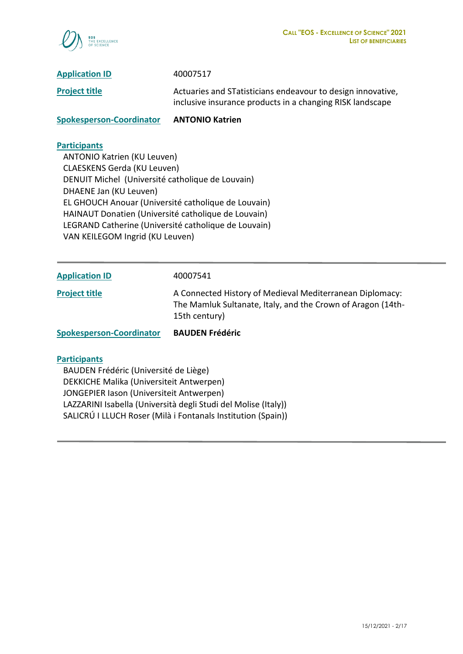

**Project title Actuaries and STatisticians endeavour to design innovative,** inclusive insurance products in a changing RISK landscape

**Spokesperson-Coordinator ANTONIO Katrien**

#### **Participants**

 ANTONIO Katrien (KU Leuven) CLAESKENS Gerda (KU Leuven) DENUIT Michel (Université catholique de Louvain) DHAENE Jan (KU Leuven) EL GHOUCH Anouar (Université catholique de Louvain) HAINAUT Donatien (Université catholique de Louvain) LEGRAND Catherine (Université catholique de Louvain) VAN KEILEGOM Ingrid (KU Leuven)

**Application ID** 40007541

**Project title** A Connected History of Medieval Mediterranean Diplomacy: The Mamluk Sultanate, Italy, and the Crown of Aragon (14th-15th century)

**Spokesperson-Coordinator BAUDEN Frédéric**

#### **Participants**

 BAUDEN Frédéric (Université de Liège) DEKKICHE Malika (Universiteit Antwerpen) JONGEPIER Iason (Universiteit Antwerpen) LAZZARINI Isabella (Università degli Studi del Molise (Italy)) SALICRÚ I LLUCH Roser (Milà i Fontanals Institution (Spain))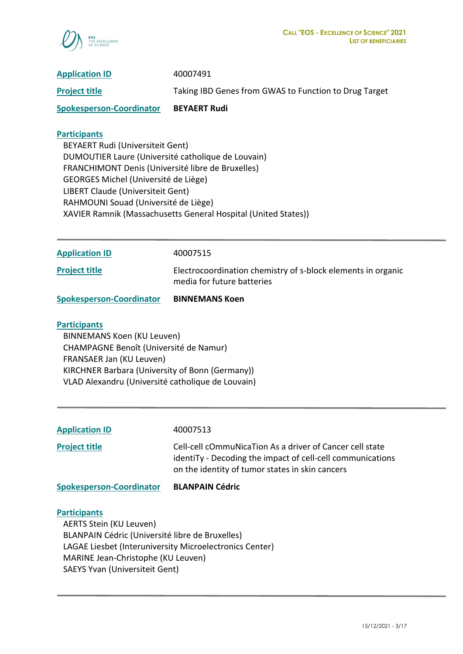

| <b>Application ID</b>           | 40007491                                              |
|---------------------------------|-------------------------------------------------------|
| <b>Project title</b>            | Taking IBD Genes from GWAS to Function to Drug Target |
| <b>Spokesperson-Coordinator</b> | <b>BEYAERT Rudi</b>                                   |

 BEYAERT Rudi (Universiteit Gent) DUMOUTIER Laure (Université catholique de Louvain) FRANCHIMONT Denis (Université libre de Bruxelles) GEORGES Michel (Université de Liège) LIBERT Claude (Universiteit Gent) RAHMOUNI Souad (Université de Liège) XAVIER Ramnik (Massachusetts General Hospital (United States))

**Application ID** 40007515

**Project title** Electrocoordination chemistry of s-block elements in organic media for future batteries

**Spokesperson-Coordinator BINNEMANS Koen**

#### **Participants**

 BINNEMANS Koen (KU Leuven) CHAMPAGNE Benoît (Université de Namur) FRANSAER Jan (KU Leuven) KIRCHNER Barbara (University of Bonn (Germany)) VLAD Alexandru (Université catholique de Louvain)

**Application ID** 40007513

**Project title Cell-cell cOmmuNicaTion As a driver of Cancer cell state** identiTy - Decoding the impact of cell-cell communications on the identity of tumor states in skin cancers

**Spokesperson-Coordinator BLANPAIN Cédric**

#### **Participants**

 AERTS Stein (KU Leuven) BLANPAIN Cédric (Université libre de Bruxelles) LAGAE Liesbet (Interuniversity Microelectronics Center) MARINE Jean-Christophe (KU Leuven) SAEYS Yvan (Universiteit Gent)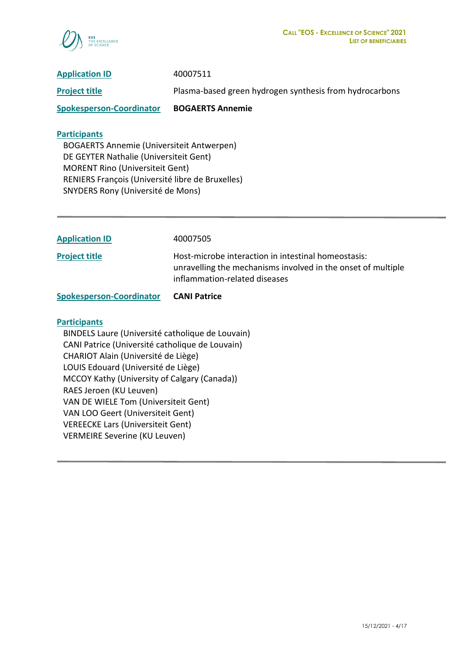

| <b>Application ID</b>           | 40007511                                                |
|---------------------------------|---------------------------------------------------------|
| <b>Project title</b>            | Plasma-based green hydrogen synthesis from hydrocarbons |
| <b>Spokesperson-Coordinator</b> | <b>BOGAERTS Annemie</b>                                 |
|                                 |                                                         |

 BOGAERTS Annemie (Universiteit Antwerpen) DE GEYTER Nathalie (Universiteit Gent) MORENT Rino (Universiteit Gent) RENIERS François (Université libre de Bruxelles) SNYDERS Rony (Université de Mons)

| <b>Application ID</b>           | 40007505                                                                                                                                             |
|---------------------------------|------------------------------------------------------------------------------------------------------------------------------------------------------|
| <b>Project title</b>            | Host-microbe interaction in intestinal homeostasis:<br>unravelling the mechanisms involved in the onset of multiple<br>inflammation-related diseases |
| <b>Spokesperson-Coordinator</b> | <b>CANI Patrice</b>                                                                                                                                  |

#### **Participants**

 BINDELS Laure (Université catholique de Louvain) CANI Patrice (Université catholique de Louvain) CHARIOT Alain (Université de Liège) LOUIS Edouard (Université de Liège) MCCOY Kathy (University of Calgary (Canada)) RAES Jeroen (KU Leuven) VAN DE WIELE Tom (Universiteit Gent) VAN LOO Geert (Universiteit Gent) VEREECKE Lars (Universiteit Gent) VERMEIRE Severine (KU Leuven)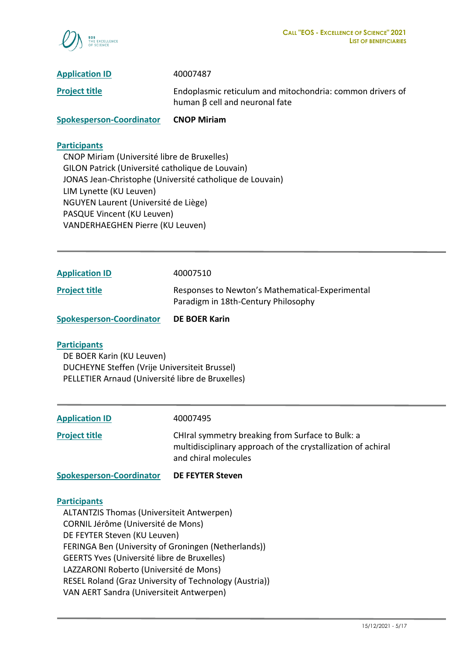

**Project title** Endoplasmic reticulum and mitochondria: common drivers of human β cell and neuronal fate

**Spokesperson-Coordinator CNOP Miriam**

## **Participants**

 CNOP Miriam (Université libre de Bruxelles) GILON Patrick (Université catholique de Louvain) JONAS Jean-Christophe (Université catholique de Louvain) LIM Lynette (KU Leuven) NGUYEN Laurent (Université de Liège) PASQUE Vincent (KU Leuven) VANDERHAEGHEN Pierre (KU Leuven)

| <b>Spokesperson-Coordinator</b> | DE BOER Karin                                                                          |
|---------------------------------|----------------------------------------------------------------------------------------|
| <b>Project title</b>            | Responses to Newton's Mathematical-Experimental<br>Paradigm in 18th-Century Philosophy |
| <b>Application ID</b>           | 40007510                                                                               |

#### **Participants**

 DE BOER Karin (KU Leuven) DUCHEYNE Steffen (Vrije Universiteit Brussel) PELLETIER Arnaud (Université libre de Bruxelles)

| <b>Spokesperson-Coordinator</b> | <b>DE FEYTER Steven</b>                                                                                                                  |
|---------------------------------|------------------------------------------------------------------------------------------------------------------------------------------|
| <b>Project title</b>            | CHIral symmetry breaking from Surface to Bulk: a<br>multidisciplinary approach of the crystallization of achiral<br>and chiral molecules |
| <b>Application ID</b>           | 40007495                                                                                                                                 |

#### **Participants**

 ALTANTZIS Thomas (Universiteit Antwerpen) CORNIL Jérôme (Université de Mons) DE FEYTER Steven (KU Leuven) FERINGA Ben (University of Groningen (Netherlands)) GEERTS Yves (Université libre de Bruxelles) LAZZARONI Roberto (Université de Mons) RESEL Roland (Graz University of Technology (Austria)) VAN AERT Sandra (Universiteit Antwerpen)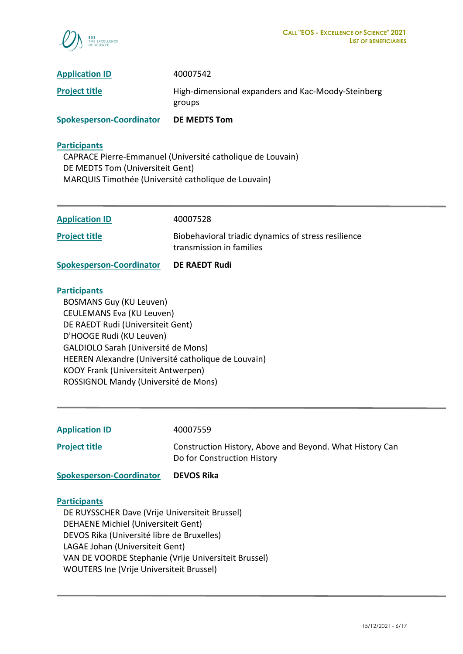

| <b>Spokesperson-Coordinator</b> | DE MEDTS Tom                                                 |
|---------------------------------|--------------------------------------------------------------|
| <b>Project title</b>            | High-dimensional expanders and Kac-Moody-Steinberg<br>groups |
| <b>Application ID</b>           | 40007542                                                     |

 CAPRACE Pierre-Emmanuel (Université catholique de Louvain) DE MEDTS Tom (Universiteit Gent) MARQUIS Timothée (Université catholique de Louvain)

| <b>Spokesperson-Coordinator</b> | <b>DE RAEDT Rudi</b>                                                            |
|---------------------------------|---------------------------------------------------------------------------------|
| <b>Project title</b>            | Biobehavioral triadic dynamics of stress resilience<br>transmission in families |
| <b>Application ID</b>           | 40007528                                                                        |

#### **Participants**

 BOSMANS Guy (KU Leuven) CEULEMANS Eva (KU Leuven) DE RAEDT Rudi (Universiteit Gent) D'HOOGE Rudi (KU Leuven) GALDIOLO Sarah (Université de Mons) HEEREN Alexandre (Université catholique de Louvain) KOOY Frank (Universiteit Antwerpen) ROSSIGNOL Mandy (Université de Mons)

| <b>Application ID</b> |
|-----------------------|
|-----------------------|

**Application ID** 40007559

**Project title Construction History, Above and Beyond. What History Can** Do for Construction History

**Spokesperson-Coordinator DEVOS Rika**

#### **Participants**

 DE RUYSSCHER Dave (Vrije Universiteit Brussel) DEHAENE Michiel (Universiteit Gent) DEVOS Rika (Université libre de Bruxelles) LAGAE Johan (Universiteit Gent) VAN DE VOORDE Stephanie (Vrije Universiteit Brussel) WOUTERS Ine (Vrije Universiteit Brussel)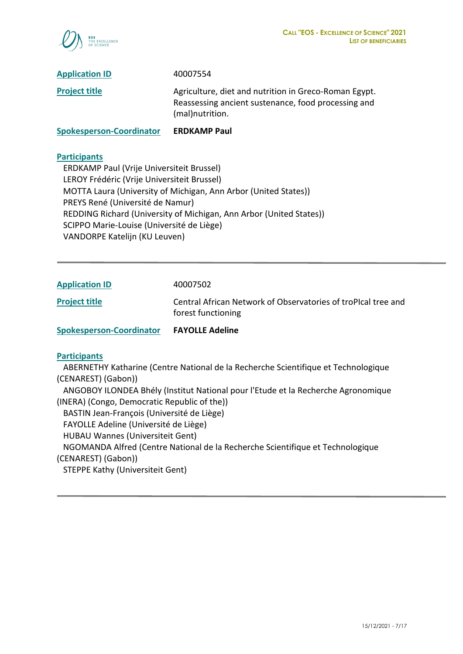

| <b>Spokesperson-Coordinator</b> | <b>ERDKAMP Paul</b>                                                                                                             |
|---------------------------------|---------------------------------------------------------------------------------------------------------------------------------|
| <b>Project title</b>            | Agriculture, diet and nutrition in Greco-Roman Egypt.<br>Reassessing ancient sustenance, food processing and<br>(mal)nutrition. |
| <b>Application ID</b>           | 40007554                                                                                                                        |

 ERDKAMP Paul (Vrije Universiteit Brussel) LEROY Frédéric (Vrije Universiteit Brussel) MOTTA Laura (University of Michigan, Ann Arbor (United States)) PREYS René (Université de Namur) REDDING Richard (University of Michigan, Ann Arbor (United States)) SCIPPO Marie-Louise (Université de Liège) VANDORPE Katelijn (KU Leuven)

| <b>Application ID</b>           | 40007502                                                                            |
|---------------------------------|-------------------------------------------------------------------------------------|
| <b>Project title</b>            | Central African Network of Observatories of troPIcal tree and<br>forest functioning |
| <b>Spokesperson-Coordinator</b> | <b>FAYOLLE Adeline</b>                                                              |

#### **Participants**

 ABERNETHY Katharine (Centre National de la Recherche Scientifique et Technologique (CENAREST) (Gabon)) ANGOBOY ILONDEA Bhély (Institut National pour l'Etude et la Recherche Agronomique (INERA) (Congo, Democratic Republic of the)) BASTIN Jean-François (Université de Liège) FAYOLLE Adeline (Université de Liège) HUBAU Wannes (Universiteit Gent) NGOMANDA Alfred (Centre National de la Recherche Scientifique et Technologique (CENAREST) (Gabon)) STEPPE Kathy (Universiteit Gent)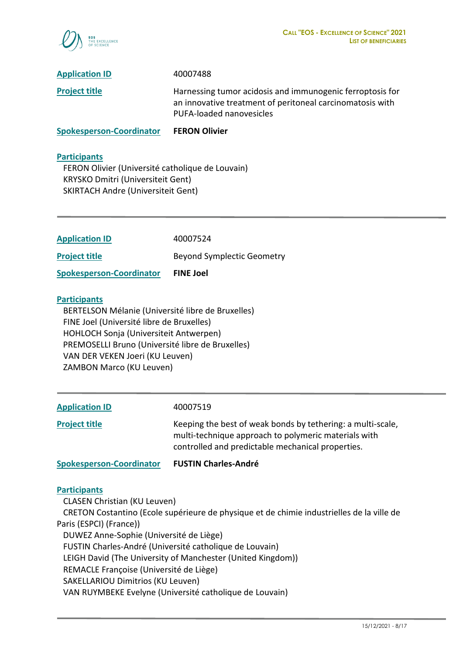

| <b>Spokesperson-Coordinator</b> | <b>FERON Olivier</b>                                                                                                                               |
|---------------------------------|----------------------------------------------------------------------------------------------------------------------------------------------------|
| <b>Project title</b>            | Harnessing tumor acidosis and immunogenic ferroptosis for<br>an innovative treatment of peritoneal carcinomatosis with<br>PUFA-loaded nanovesicles |
| <b>Application ID</b>           | 40007488                                                                                                                                           |

 FERON Olivier (Université catholique de Louvain) KRYSKO Dmitri (Universiteit Gent) SKIRTACH Andre (Universiteit Gent)

| <b>FINE Joel</b>                  |
|-----------------------------------|
| <b>Beyond Symplectic Geometry</b> |
| 40007524                          |
|                                   |

#### **Participants**

 BERTELSON Mélanie (Université libre de Bruxelles) FINE Joel (Université libre de Bruxelles) HOHLOCH Sonja (Universiteit Antwerpen) PREMOSELLI Bruno (Université libre de Bruxelles) VAN DER VEKEN Joeri (KU Leuven) ZAMBON Marco (KU Leuven)

| <b>Application ID</b> | 40007519                                                                                                                                                                 |
|-----------------------|--------------------------------------------------------------------------------------------------------------------------------------------------------------------------|
| <b>Project title</b>  | Keeping the best of weak bonds by tethering: a multi-scale,<br>multi-technique approach to polymeric materials with<br>controlled and predictable mechanical properties. |

**Spokesperson-Coordinator FUSTIN Charles-André**

#### **Participants**

CLASEN Christian (KU Leuven)

 CRETON Costantino (Ecole supérieure de physique et de chimie industrielles de la ville de Paris (ESPCI) (France)) DUWEZ Anne-Sophie (Université de Liège)

FUSTIN Charles-André (Université catholique de Louvain)

LEIGH David (The University of Manchester (United Kingdom))

REMACLE Françoise (Université de Liège)

SAKELLARIOU Dimitrios (KU Leuven)

VAN RUYMBEKE Evelyne (Université catholique de Louvain)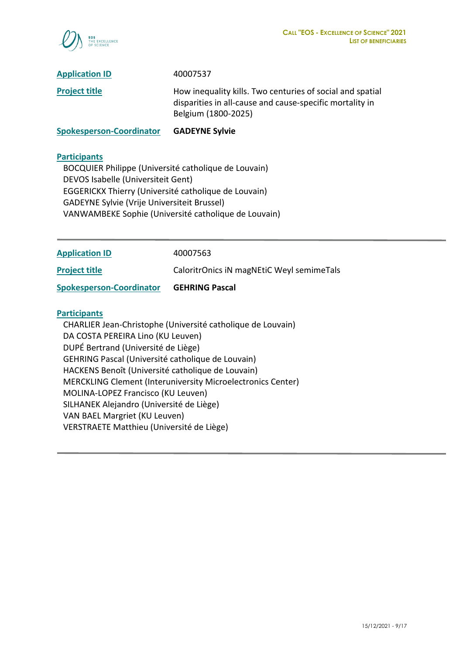

| <b>Spokesperson-Coordinator</b> | <b>GADEYNE Sylvie</b>                                                                                                                        |
|---------------------------------|----------------------------------------------------------------------------------------------------------------------------------------------|
| <b>Project title</b>            | How inequality kills. Two centuries of social and spatial<br>disparities in all-cause and cause-specific mortality in<br>Belgium (1800-2025) |
| <b>Application ID</b>           | 40007537                                                                                                                                     |

 BOCQUIER Philippe (Université catholique de Louvain) DEVOS Isabelle (Universiteit Gent) EGGERICKX Thierry (Université catholique de Louvain) GADEYNE Sylvie (Vrije Universiteit Brussel) VANWAMBEKE Sophie (Université catholique de Louvain)

| <b>Application ID</b>           | 40007563                                  |
|---------------------------------|-------------------------------------------|
| <b>Project title</b>            | CaloritrOnics iN magNEtiC Weyl semimeTals |
| <b>Spokesperson-Coordinator</b> | <b>GEHRING Pascal</b>                     |
| <b>Participants</b>             |                                           |

 CHARLIER Jean-Christophe (Université catholique de Louvain) DA COSTA PEREIRA Lino (KU Leuven) DUPÉ Bertrand (Université de Liège) GEHRING Pascal (Université catholique de Louvain) HACKENS Benoît (Université catholique de Louvain) MERCKLING Clement (Interuniversity Microelectronics Center) MOLINA-LOPEZ Francisco (KU Leuven) SILHANEK Alejandro (Université de Liège) VAN BAEL Margriet (KU Leuven) VERSTRAETE Matthieu (Université de Liège)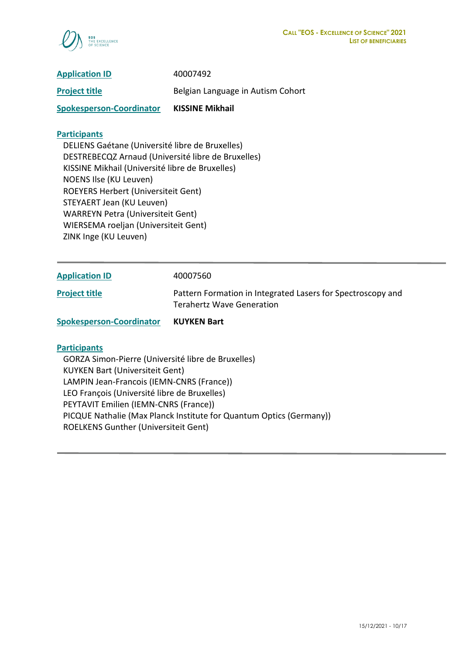

| <b>Application ID</b>           | 40007492                          |
|---------------------------------|-----------------------------------|
| <b>Project title</b>            | Belgian Language in Autism Cohort |
| <b>Spokesperson-Coordinator</b> | <b>KISSINE Mikhail</b>            |

 DELIENS Gaétane (Université libre de Bruxelles) DESTREBECQZ Arnaud (Université libre de Bruxelles) KISSINE Mikhail (Université libre de Bruxelles) NOENS Ilse (KU Leuven) ROEYERS Herbert (Universiteit Gent) STEYAERT Jean (KU Leuven) WARREYN Petra (Universiteit Gent) WIERSEMA roeljan (Universiteit Gent) ZINK Inge (KU Leuven)

| <b>Application ID</b> | 40007560                                                                                 |
|-----------------------|------------------------------------------------------------------------------------------|
| <b>Project title</b>  | Pattern Formation in Integrated Lasers for Spectroscopy and<br>Terahertz Wave Generation |

**Spokesperson-Coordinator KUYKEN Bart**

#### **Participants**

 GORZA Simon-Pierre (Université libre de Bruxelles) KUYKEN Bart (Universiteit Gent) LAMPIN Jean-Francois (IEMN-CNRS (France)) LEO François (Université libre de Bruxelles) PEYTAVIT Emilien (IEMN-CNRS (France)) PICQUE Nathalie (Max Planck Institute for Quantum Optics (Germany)) ROELKENS Gunther (Universiteit Gent)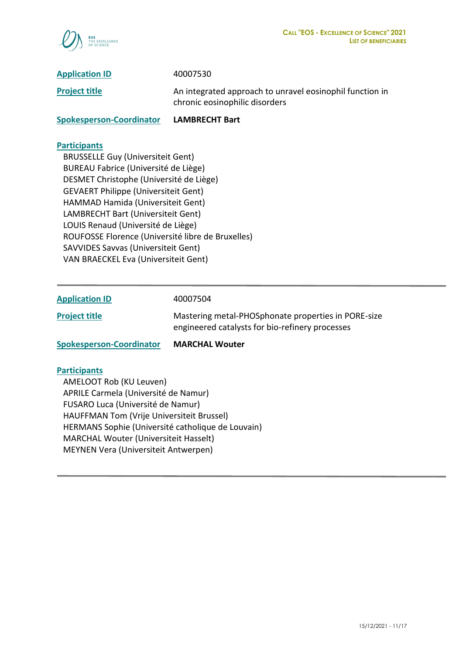

**Project title** An integrated approach to unravel eosinophil function in chronic eosinophilic disorders

**Spokesperson-Coordinator LAMBRECHT Bart**

#### **Participants**

 BRUSSELLE Guy (Universiteit Gent) BUREAU Fabrice (Université de Liège) DESMET Christophe (Université de Liège) GEVAERT Philippe (Universiteit Gent) HAMMAD Hamida (Universiteit Gent) LAMBRECHT Bart (Universiteit Gent) LOUIS Renaud (Université de Liège) ROUFOSSE Florence (Université libre de Bruxelles) SAVVIDES Savvas (Universiteit Gent) VAN BRAECKEL Eva (Universiteit Gent)

| <b>Application ID</b>           | 40007504                                                                                               |
|---------------------------------|--------------------------------------------------------------------------------------------------------|
| <b>Project title</b>            | Mastering metal-PHOSphonate properties in PORE-size<br>engineered catalysts for bio-refinery processes |
| <b>Spokesperson-Coordinator</b> | <b>MARCHAL Wouter</b>                                                                                  |

#### **Participants**

 AMELOOT Rob (KU Leuven) APRILE Carmela (Université de Namur) FUSARO Luca (Université de Namur) HAUFFMAN Tom (Vrije Universiteit Brussel) HERMANS Sophie (Université catholique de Louvain) MARCHAL Wouter (Universiteit Hasselt) MEYNEN Vera (Universiteit Antwerpen)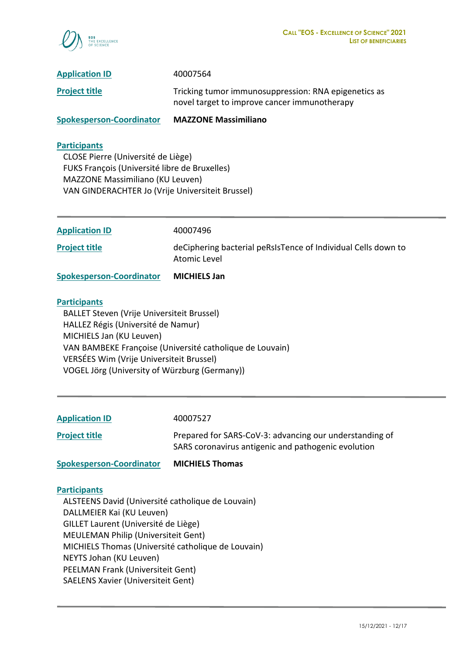

| <b>Spokesperson-Coordinator</b> | <b>MAZZONE Massimiliano</b>                                                                          |
|---------------------------------|------------------------------------------------------------------------------------------------------|
| <b>Project title</b>            | Tricking tumor immunosuppression: RNA epigenetics as<br>novel target to improve cancer immunotherapy |
| <b>Application ID</b>           | 40007564                                                                                             |

 CLOSE Pierre (Université de Liège) FUKS François (Université libre de Bruxelles) MAZZONE Massimiliano (KU Leuven) VAN GINDERACHTER Jo (Vrije Universiteit Brussel)

| <b>Spokesperson-Coordinator</b> | <b>MICHIELS Jan</b>                                                           |
|---------------------------------|-------------------------------------------------------------------------------|
| <b>Project title</b>            | deCiphering bacterial peRsIsTence of Individual Cells down to<br>Atomic Level |
| <b>Application ID</b>           | 40007496                                                                      |

#### **Participants**

 BALLET Steven (Vrije Universiteit Brussel) HALLEZ Régis (Université de Namur) MICHIELS Jan (KU Leuven) VAN BAMBEKE Françoise (Université catholique de Louvain) VERSÉES Wim (Vrije Universiteit Brussel) VOGEL Jörg (University of Würzburg (Germany))

| <b>Application ID</b> | 40007527 |
|-----------------------|----------|
|-----------------------|----------|

**Project title Project title** Prepared for SARS-CoV-3: advancing our understanding of SARS coronavirus antigenic and pathogenic evolution

**Spokesperson-Coordinator MICHIELS Thomas**

#### **Participants**

 ALSTEENS David (Université catholique de Louvain) DALLMEIER Kai (KU Leuven) GILLET Laurent (Université de Liège) MEULEMAN Philip (Universiteit Gent) MICHIELS Thomas (Université catholique de Louvain) NEYTS Johan (KU Leuven) PEELMAN Frank (Universiteit Gent) SAELENS Xavier (Universiteit Gent)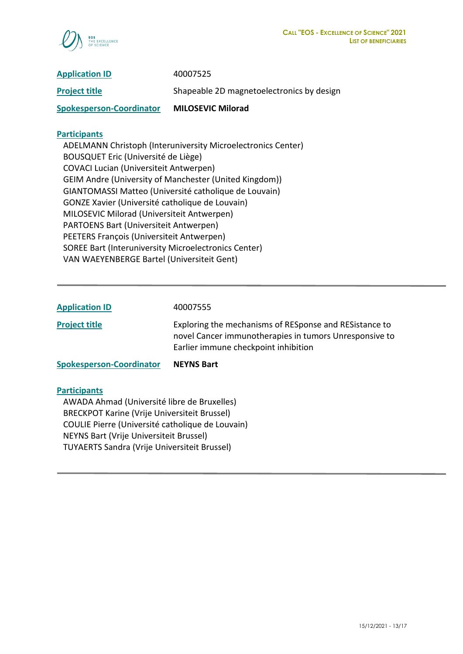

| <b>Application ID</b>           | 40007525                                  |
|---------------------------------|-------------------------------------------|
| <b>Project title</b>            | Shapeable 2D magnetoelectronics by design |
| <b>Spokesperson-Coordinator</b> | <b>MILOSEVIC Milorad</b>                  |

 ADELMANN Christoph (Interuniversity Microelectronics Center) BOUSQUET Eric (Université de Liège) COVACI Lucian (Universiteit Antwerpen) GEIM Andre (University of Manchester (United Kingdom)) GIANTOMASSI Matteo (Université catholique de Louvain) GONZE Xavier (Université catholique de Louvain) MILOSEVIC Milorad (Universiteit Antwerpen) PARTOENS Bart (Universiteit Antwerpen) PEETERS François (Universiteit Antwerpen) SOREE Bart (Interuniversity Microelectronics Center) VAN WAEYENBERGE Bartel (Universiteit Gent)

| <b>Application ID</b>           | 40007555                                                                                                                                                 |
|---------------------------------|----------------------------------------------------------------------------------------------------------------------------------------------------------|
| <b>Project title</b>            | Exploring the mechanisms of RESponse and RESistance to<br>novel Cancer immunotherapies in tumors Unresponsive to<br>Earlier immune checkpoint inhibition |
| <b>Spokesperson-Coordinator</b> | <b>NEYNS Bart</b>                                                                                                                                        |

#### **Participants**

 AWADA Ahmad (Université libre de Bruxelles) BRECKPOT Karine (Vrije Universiteit Brussel) COULIE Pierre (Université catholique de Louvain) NEYNS Bart (Vrije Universiteit Brussel) TUYAERTS Sandra (Vrije Universiteit Brussel)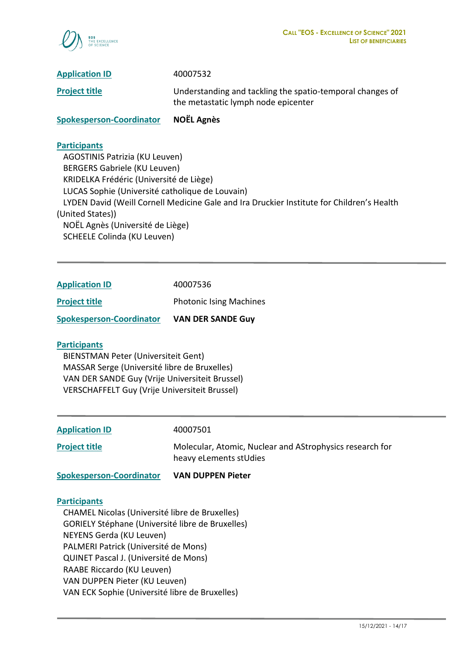

**Project title** Understanding and tackling the spatio-temporal changes of the metastatic lymph node epicenter

**Spokesperson-Coordinator NOËL Agnès**

## **Participants**

 AGOSTINIS Patrizia (KU Leuven) BERGERS Gabriele (KU Leuven) KRIDELKA Frédéric (Université de Liège) LUCAS Sophie (Université catholique de Louvain) LYDEN David (Weill Cornell Medicine Gale and Ira Druckier Institute for Children's Health (United States)) NOËL Agnès (Université de Liège) SCHEELE Colinda (KU Leuven)

| <b>Spokesperson-Coordinator</b> | <b>VAN DER SANDE Guy</b>       |
|---------------------------------|--------------------------------|
| <b>Project title</b>            | <b>Photonic Ising Machines</b> |
| <b>Application ID</b>           | 40007536                       |

## **Participants**

 BIENSTMAN Peter (Universiteit Gent) MASSAR Serge (Université libre de Bruxelles) VAN DER SANDE Guy (Vrije Universiteit Brussel) VERSCHAFFELT Guy (Vrije Universiteit Brussel)

**Application ID** 40007501

**Project title** Molecular, Atomic, Nuclear and AStrophysics research for heavy eLements stUdies

**Spokesperson-Coordinator VAN DUPPEN Pieter**

#### **Participants**

 CHAMEL Nicolas (Université libre de Bruxelles) GORIELY Stéphane (Université libre de Bruxelles) NEYENS Gerda (KU Leuven) PALMERI Patrick (Université de Mons) QUINET Pascal J. (Université de Mons) RAABE Riccardo (KU Leuven) VAN DUPPEN Pieter (KU Leuven) VAN ECK Sophie (Université libre de Bruxelles)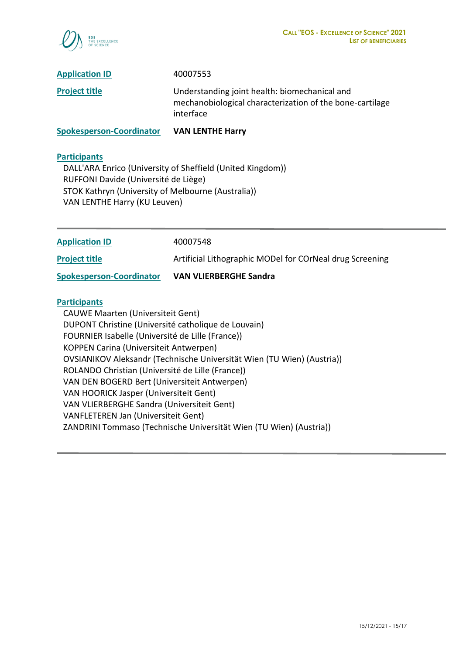

| <b>Spokesperson-Coordinator</b> | <b>VAN LENTHE Harry</b>                                                                                                |
|---------------------------------|------------------------------------------------------------------------------------------------------------------------|
| <b>Project title</b>            | Understanding joint health: biomechanical and<br>mechanobiological characterization of the bone-cartilage<br>interface |
| <b>Application ID</b>           | 40007553                                                                                                               |

 DALL'ARA Enrico (University of Sheffield (United Kingdom)) RUFFONI Davide (Université de Liège) STOK Kathryn (University of Melbourne (Australia)) VAN LENTHE Harry (KU Leuven)

OVSIANIKOV Aleksandr (Technische Universität Wien (TU Wien) (Austria))

ZANDRINI Tommaso (Technische Universität Wien (TU Wien) (Austria))

KOPPEN Carina (Universiteit Antwerpen)

 VAN HOORICK Jasper (Universiteit Gent) VAN VLIERBERGHE Sandra (Universiteit Gent)

VANFLETEREN Jan (Universiteit Gent)

 ROLANDO Christian (Université de Lille (France)) VAN DEN BOGERD Bert (Universiteit Antwerpen)

| <b>Application ID</b>                               | 40007548                                                 |  |
|-----------------------------------------------------|----------------------------------------------------------|--|
| <b>Project title</b>                                | Artificial Lithographic MODel for COrNeal drug Screening |  |
| <b>Spokesperson-Coordinator</b>                     | <b>VAN VLIERBERGHE Sandra</b>                            |  |
| <b>Participants</b>                                 |                                                          |  |
| <b>CAUWE Maarten (Universiteit Gent)</b>            |                                                          |  |
| DUPONT Christine (Université catholique de Louvain) |                                                          |  |
| FOURNIER Isabelle (Université de Lille (France))    |                                                          |  |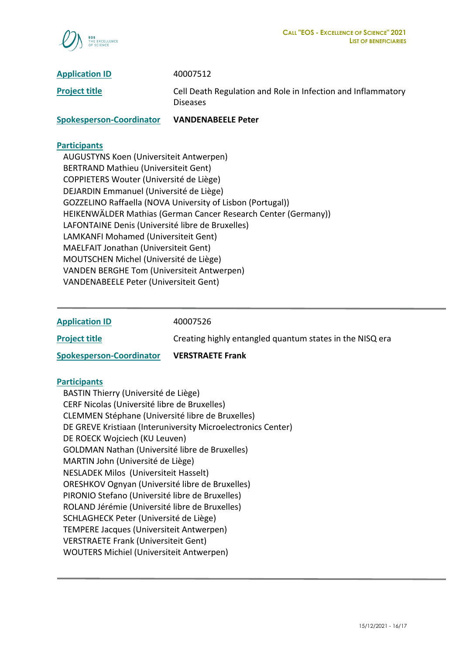

**Application ID** 40007512 **Project title** Cell Death Regulation and Role in Infection and Inflammatory Diseases

**Spokesperson-Coordinator VANDENABEELE Peter**

#### **Participants**

 AUGUSTYNS Koen (Universiteit Antwerpen) BERTRAND Mathieu (Universiteit Gent) COPPIETERS Wouter (Université de Liège) DEJARDIN Emmanuel (Université de Liège) GOZZELINO Raffaella (NOVA University of Lisbon (Portugal)) HEIKENWÄLDER Mathias (German Cancer Research Center (Germany)) LAFONTAINE Denis (Université libre de Bruxelles) LAMKANFI Mohamed (Universiteit Gent) MAELFAIT Jonathan (Universiteit Gent) MOUTSCHEN Michel (Université de Liège) VANDEN BERGHE Tom (Universiteit Antwerpen) VANDENABEELE Peter (Universiteit Gent)

**Application ID** 40007526

**Project title Creating highly entangled quantum states in the NISQ era** 

**Spokesperson-Coordinator VERSTRAETE Frank**

#### **Participants**

 BASTIN Thierry (Université de Liège) CERF Nicolas (Université libre de Bruxelles) CLEMMEN Stéphane (Université libre de Bruxelles) DE GREVE Kristiaan (Interuniversity Microelectronics Center) DE ROECK Wojciech (KU Leuven) GOLDMAN Nathan (Université libre de Bruxelles) MARTIN John (Université de Liège) NESLADEK Milos (Universiteit Hasselt) ORESHKOV Ognyan (Université libre de Bruxelles) PIRONIO Stefano (Université libre de Bruxelles) ROLAND Jérémie (Université libre de Bruxelles) SCHLAGHECK Peter (Université de Liège) TEMPERE Jacques (Universiteit Antwerpen) VERSTRAETE Frank (Universiteit Gent) WOUTERS Michiel (Universiteit Antwerpen)